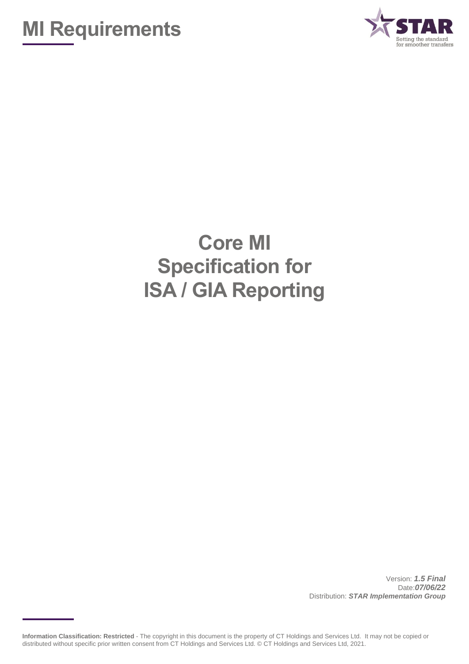



## **Core MI Specification for ISA / GIA Reporting**

Version: *1.5 Final* Date:*07/06/22* Distribution: *STAR Implementation Group*

**Information Classification: Restricted** - The copyright in this document is the property of CT Holdings and Services Ltd. It may not be copied or distributed without specific prior written consent from CT Holdings and Services Ltd. © CT Holdings and Services Ltd, 2021.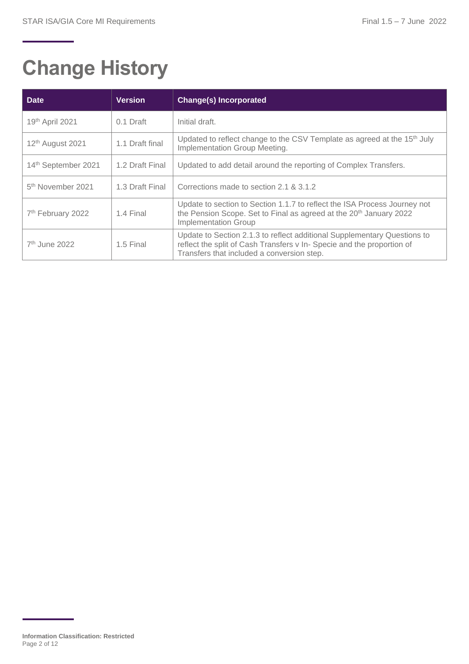# **Change History**

| <b>Date</b>                   | <b>Version</b>  | <b>Change(s) Incorporated</b>                                                                                                                                                                    |
|-------------------------------|-----------------|--------------------------------------------------------------------------------------------------------------------------------------------------------------------------------------------------|
| 19th April 2021               | 0.1 Draft       | Initial draft.                                                                                                                                                                                   |
| 12 <sup>th</sup> August 2021  | 1.1 Draft final | Updated to reflect change to the CSV Template as agreed at the 15 <sup>th</sup> July<br>Implementation Group Meeting.                                                                            |
| 14th September 2021           | 1.2 Draft Final | Updated to add detail around the reporting of Complex Transfers.                                                                                                                                 |
| 5 <sup>th</sup> November 2021 | 1.3 Draft Final | Corrections made to section 2.1 & 3.1.2                                                                                                                                                          |
| 7 <sup>th</sup> February 2022 | 1.4 Final       | Update to section to Section 1.1.7 to reflect the ISA Process Journey not<br>the Pension Scope. Set to Final as agreed at the 20 <sup>th</sup> January 2022<br><b>Implementation Group</b>       |
| 7 <sup>th</sup> June 2022     | 1.5 Final       | Update to Section 2.1.3 to reflect additional Supplementary Questions to<br>reflect the split of Cash Transfers v In- Specie and the proportion of<br>Transfers that included a conversion step. |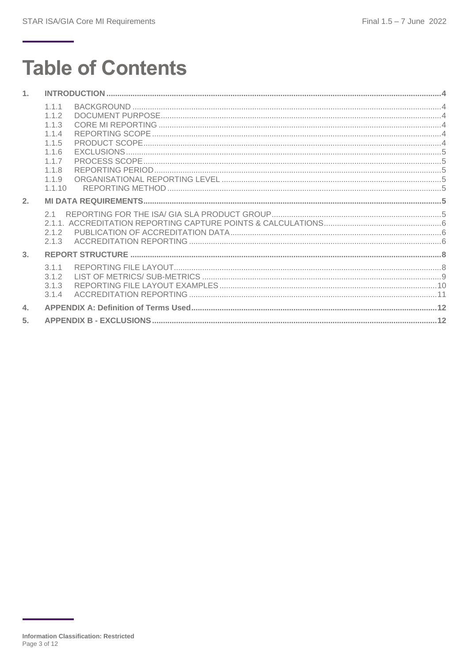# **Table of Contents**

| 1.             |                                                                                       |  |
|----------------|---------------------------------------------------------------------------------------|--|
|                | 1.1.1<br>1.1.2<br>1.1.3<br>1.1.4<br>1.1.5<br>1.1.6<br>117<br>1.1.8<br>1.1.9<br>1.1.10 |  |
| 2.             |                                                                                       |  |
|                | 21<br>2.1.2<br>2.1.3                                                                  |  |
| 3 <sub>1</sub> |                                                                                       |  |
|                | 311<br>3.1.2<br>3.1.3<br>3.1.4                                                        |  |
| 4.             |                                                                                       |  |
| 5.             |                                                                                       |  |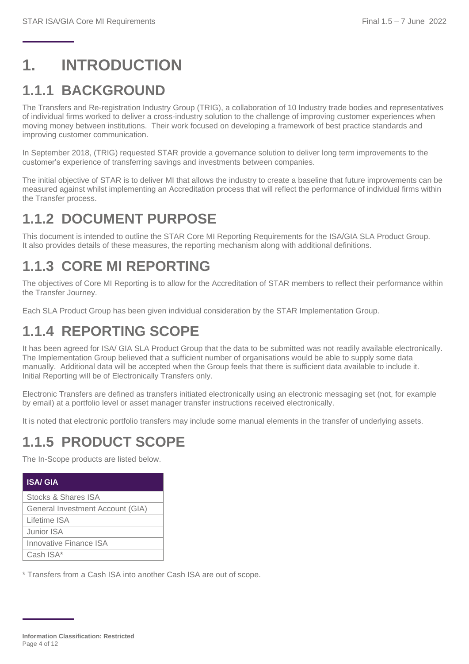## <span id="page-3-0"></span>**1. INTRODUCTION**

#### <span id="page-3-1"></span>**1.1.1 BACKGROUND**

The Transfers and Re-registration Industry Group (TRIG), a collaboration of 10 Industry trade bodies and representatives of individual firms worked to deliver a cross-industry solution to the challenge of improving customer experiences when moving money between institutions. Their work focused on developing a framework of best practice standards and improving customer communication.

In September 2018, (TRIG) requested STAR provide a governance solution to deliver long term improvements to the customer's experience of transferring savings and investments between companies.

The initial objective of STAR is to deliver MI that allows the industry to create a baseline that future improvements can be measured against whilst implementing an Accreditation process that will reflect the performance of individual firms within the Transfer process.

#### <span id="page-3-2"></span>**1.1.2 DOCUMENT PURPOSE**

This document is intended to outline the STAR Core MI Reporting Requirements for the ISA/GIA SLA Product Group. It also provides details of these measures, the reporting mechanism along with additional definitions.

#### <span id="page-3-3"></span>**1.1.3 CORE MI REPORTING**

The objectives of Core MI Reporting is to allow for the Accreditation of STAR members to reflect their performance within the Transfer Journey.

Each SLA Product Group has been given individual consideration by the STAR Implementation Group.

#### <span id="page-3-4"></span>**1.1.4 REPORTING SCOPE**

It has been agreed for ISA/ GIA SLA Product Group that the data to be submitted was not readily available electronically. The Implementation Group believed that a sufficient number of organisations would be able to supply some data manually. Additional data will be accepted when the Group feels that there is sufficient data available to include it. Initial Reporting will be of Electronically Transfers only.

Electronic Transfers are defined as transfers initiated electronically using an electronic messaging set (not, for example by email) at a portfolio level or asset manager transfer instructions received electronically.

It is noted that electronic portfolio transfers may include some manual elements in the transfer of underlying assets.

#### <span id="page-3-5"></span>**1.1.5 PRODUCT SCOPE**

The In-Scope products are listed below.

| <b>ISA/GIA</b>                   |
|----------------------------------|
| Stocks & Shares ISA              |
| General Investment Account (GIA) |
| Lifetime ISA                     |
| Junior ISA                       |
| <b>Innovative Finance ISA</b>    |
| Cash ISA*                        |

\* Transfers from a Cash ISA into another Cash ISA are out of scope.

**Information Classification: Restricted** Page 4 of 12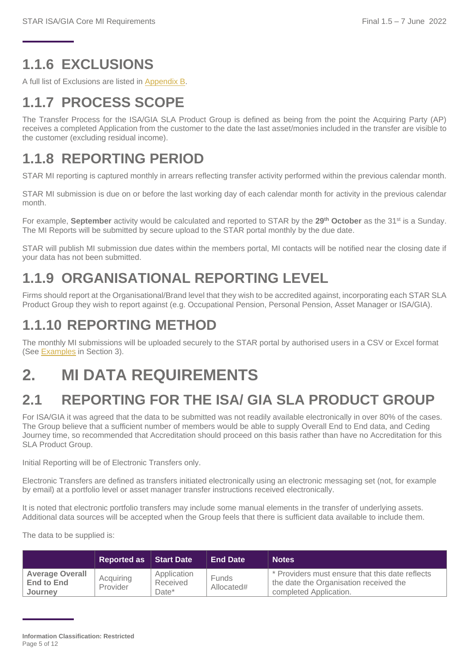### <span id="page-4-0"></span>**1.1.6 EXCLUSIONS**

A full list of Exclusions are listed in [Appendix B.](#page-11-2)

## <span id="page-4-1"></span>**1.1.7 PROCESS SCOPE**

The Transfer Process for the ISA/GIA SLA Product Group is defined as being from the point the Acquiring Party (AP) receives a completed Application from the customer to the date the last asset/monies included in the transfer are visible to the customer (excluding residual income).

### <span id="page-4-2"></span>**1.1.8 REPORTING PERIOD**

STAR MI reporting is captured monthly in arrears reflecting transfer activity performed within the previous calendar month.

STAR MI submission is due on or before the last working day of each calendar month for activity in the previous calendar month.

For example, **September** activity would be calculated and reported to STAR by the **29th October** as the 31st is a Sunday. The MI Reports will be submitted by secure upload to the STAR portal monthly by the due date.

STAR will publish MI submission due dates within the members portal, MI contacts will be notified near the closing date if your data has not been submitted.

#### <span id="page-4-3"></span>**1.1.9 ORGANISATIONAL REPORTING LEVEL**

Firms should report at the Organisational/Brand level that they wish to be accredited against, incorporating each STAR SLA Product Group they wish to report against (e.g. Occupational Pension, Personal Pension, Asset Manager or ISA/GIA).

#### <span id="page-4-4"></span>**1.1.10 REPORTING METHOD**

The monthly MI submissions will be uploaded securely to the STAR portal by authorised users in a CSV or Excel format (See [Examples](#page-10-0) in Section 3).

## <span id="page-4-5"></span>**2. MI DATA REQUIREMENTS**

#### <span id="page-4-6"></span>**2.1 REPORTING FOR THE ISA/ GIA SLA PRODUCT GROUP**

For ISA/GIA it was agreed that the data to be submitted was not readily available electronically in over 80% of the cases. The Group believe that a sufficient number of members would be able to supply Overall End to End data, and Ceding Journey time, so recommended that Accreditation should proceed on this basis rather than have no Accreditation for this SLA Product Group.

Initial Reporting will be of Electronic Transfers only.

Electronic Transfers are defined as transfers initiated electronically using an electronic messaging set (not, for example by email) at a portfolio level or asset manager transfer instructions received electronically.

It is noted that electronic portfolio transfers may include some manual elements in the transfer of underlying assets. Additional data sources will be accepted when the Group feels that there is sufficient data available to include them.

The data to be supplied is:

|                                                        | Reported as Start Date |                                  | <b>End Date</b>     | <b>Notes</b>                                                                                                        |
|--------------------------------------------------------|------------------------|----------------------------------|---------------------|---------------------------------------------------------------------------------------------------------------------|
| <b>Average Overall</b><br><b>End to End</b><br>Journey | Acquiring<br>Provider  | Application<br>Received<br>Date* | Funds<br>Allocated# | * Providers must ensure that this date reflects<br>the date the Organisation received the<br>completed Application. |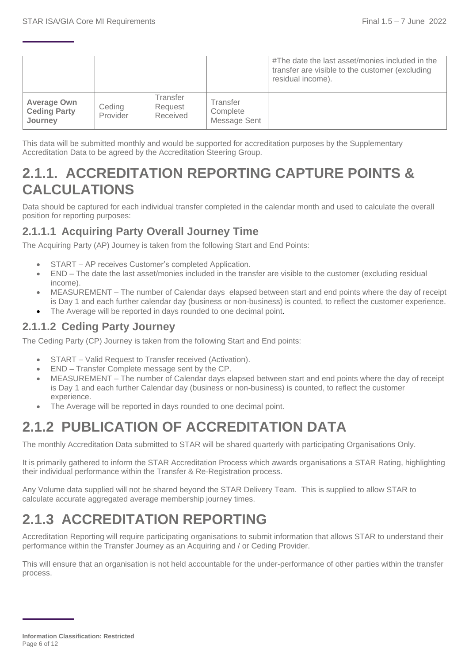|                                                      |                    |                                 |                                      | #The date the last asset/monies included in the<br>transfer are visible to the customer (excluding<br>residual income). |
|------------------------------------------------------|--------------------|---------------------------------|--------------------------------------|-------------------------------------------------------------------------------------------------------------------------|
| <b>Average Own</b><br><b>Ceding Party</b><br>Journey | Ceding<br>Provider | Transfer<br>Request<br>Received | Transfer<br>Complete<br>Message Sent |                                                                                                                         |

This data will be submitted monthly and would be supported for accreditation purposes by the Supplementary Accreditation Data to be agreed by the Accreditation Steering Group.

#### <span id="page-5-0"></span>**2.1.1. ACCREDITATION REPORTING CAPTURE POINTS & CALCULATIONS**

Data should be captured for each individual transfer completed in the calendar month and used to calculate the overall position for reporting purposes:

#### **2.1.1.1 Acquiring Party Overall Journey Time**

The Acquiring Party (AP) Journey is taken from the following Start and End Points:

- START AP receives Customer's completed Application.
- END The date the last asset/monies included in the transfer are visible to the customer (excluding residual income).
- MEASUREMENT The number of Calendar days elapsed between start and end points where the day of receipt is Day 1 and each further calendar day (business or non-business) is counted, to reflect the customer experience.
- The Average will be reported in days rounded to one decimal point.

#### **2.1.1.2 Ceding Party Journey**

The Ceding Party (CP) Journey is taken from the following Start and End points:

- START Valid Request to Transfer received (Activation).
- END Transfer Complete message sent by the CP.
- MEASUREMENT The number of Calendar days elapsed between start and end points where the day of receipt is Day 1 and each further Calendar day (business or non-business) is counted, to reflect the customer experience.
- The Average will be reported in days rounded to one decimal point.

#### <span id="page-5-1"></span>**2.1.2 PUBLICATION OF ACCREDITATION DATA**

The monthly Accreditation Data submitted to STAR will be shared quarterly with participating Organisations Only.

It is primarily gathered to inform the STAR Accreditation Process which awards organisations a STAR Rating, highlighting their individual performance within the Transfer & Re-Registration process.

Any Volume data supplied will not be shared beyond the STAR Delivery Team. This is supplied to allow STAR to calculate accurate aggregated average membership journey times.

## <span id="page-5-2"></span>**2.1.3 ACCREDITATION REPORTING**

Accreditation Reporting will require participating organisations to submit information that allows STAR to understand their performance within the Transfer Journey as an Acquiring and / or Ceding Provider.

This will ensure that an organisation is not held accountable for the under-performance of other parties within the transfer process.

**Information Classification: Restricted** Page 6 of 12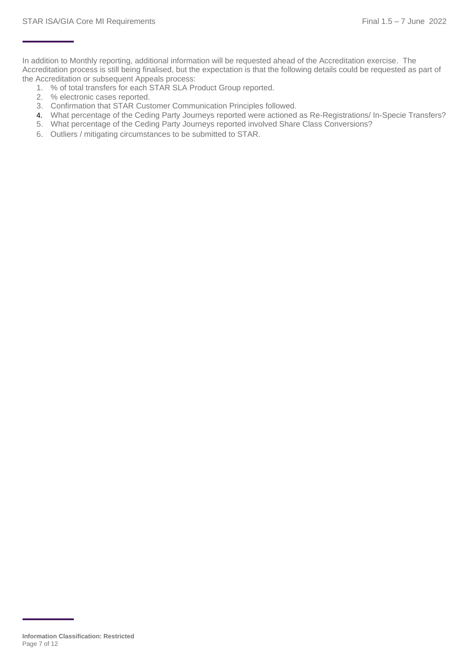In addition to Monthly reporting, additional information will be requested ahead of the Accreditation exercise. The Accreditation process is still being finalised, but the expectation is that the following details could be requested as part of the Accreditation or subsequent Appeals process:

- 1. % of total transfers for each STAR SLA Product Group reported.
- 2. % electronic cases reported.
- 3. Confirmation that STAR Customer Communication Principles followed.
- 4. What percentage of the Ceding Party Journeys reported were actioned as Re-Registrations/ In-Specie Transfers?
- 5. What percentage of the Ceding Party Journeys reported involved Share Class Conversions?
- 6. Outliers / mitigating circumstances to be submitted to STAR.

**Information Classification: Restricted** Page 7 of 12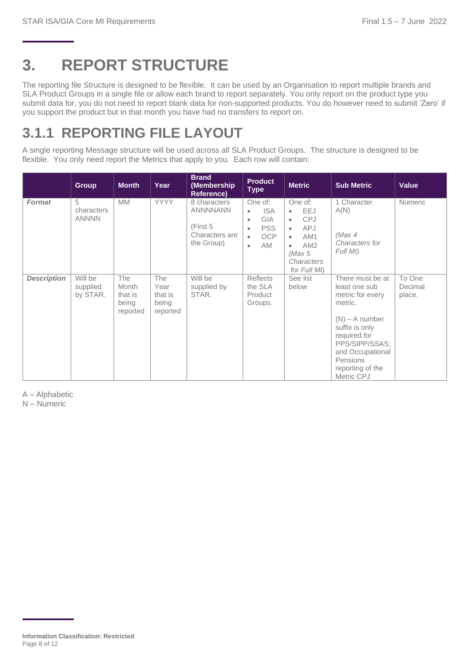## <span id="page-7-0"></span>**3. REPORT STRUCTURE**

The reporting file Structure is designed to be flexible. It can be used by an Organisation to report multiple brands and SLA Product Groups in a single file or allow each brand to report separately. You only report on the product type you submit data for, you do not need to report blank data for non-supported products. You do however need to submit 'Zero' if you support the product but in that month you have had no transfers to report on.

#### <span id="page-7-1"></span>**3.1.1 REPORTING FILE LAYOUT**

A single reporting Message structure will be used across all SLA Product Groups. The structure is designed to be flexible. You only need report the Metrics that apply to you. Each row will contain:

|                    | <b>Group</b>                    | <b>Month</b>                                 | Year                                               | <b>Brand</b><br>(Membership<br><b>Reference)</b>                            | <b>Product</b><br><b>Type</b>                                                                                                                                                                                                                                                                         | <b>Metric</b>     | <b>Sub Metric</b>                                                                                                                                                                                          | Value                       |                                                              |                |
|--------------------|---------------------------------|----------------------------------------------|----------------------------------------------------|-----------------------------------------------------------------------------|-------------------------------------------------------------------------------------------------------------------------------------------------------------------------------------------------------------------------------------------------------------------------------------------------------|-------------------|------------------------------------------------------------------------------------------------------------------------------------------------------------------------------------------------------------|-----------------------------|--------------------------------------------------------------|----------------|
| Format             | 5<br>characters<br><b>ANNNN</b> | <b>MM</b>                                    | <b>YYYY</b>                                        | 8 characters<br><b>ANNNNANN</b><br>(First 5<br>Characters are<br>the Group) | One of:<br>One of:<br><b>ISA</b><br><b>EEJ</b><br>$\bullet$<br>$\bullet$<br><b>CPJ</b><br><b>GIA</b><br>$\bullet$<br>$\bullet$<br><b>PSS</b><br><b>APJ</b><br>$\bullet$<br>$\bullet$<br><b>OCP</b><br>AM1<br>$\bullet$<br>$\bullet$<br>AM.<br>AM2<br>$\bullet$<br>(Max 5<br>Characters<br>for Full MI |                   |                                                                                                                                                                                                            |                             | 1 Character<br>A(N)<br>(Max 4)<br>Characters for<br>Full MI) | <b>Numeric</b> |
| <b>Description</b> | Will be<br>supplied<br>by STAR. | The<br>Month<br>that is<br>being<br>reported | <b>The</b><br>Year<br>that is<br>being<br>reported | Will be<br>supplied by<br>STAR.                                             | Reflects<br>the SLA<br>Product<br>Groups.                                                                                                                                                                                                                                                             | See list<br>below | There must be at<br>least one sub<br>metric for every<br>metric.<br>$(N) - A$ number<br>suffix is only<br>required for<br>PPS/SIPP/SSAS:<br>and Occupational<br>Pensions<br>reporting of the<br>Metric CPJ | To One<br>Decimal<br>place. |                                                              |                |

A – Alphabetic

N – Numeric

**Information Classification: Restricted** Page 8 of 12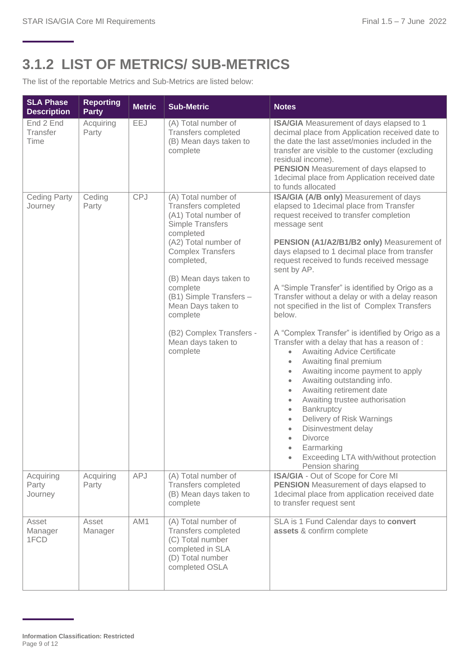### <span id="page-8-0"></span>**3.1.2 LIST OF METRICS/ SUB-METRICS**

The list of the reportable Metrics and Sub-Metrics are listed below:

| <b>SLA Phase</b><br><b>Description</b> | <b>Reporting</b><br><b>Party</b> | <b>Metric</b> | <b>Sub-Metric</b>                                                                                                                                                                                                                                                                                                                             | <b>Notes</b>                                                                                                                                                                                                                                                                                                                                                                                                                                                                                                                                                                                                                                                                                                                                                                                                                                                                                                                                                                                                                                        |
|----------------------------------------|----------------------------------|---------------|-----------------------------------------------------------------------------------------------------------------------------------------------------------------------------------------------------------------------------------------------------------------------------------------------------------------------------------------------|-----------------------------------------------------------------------------------------------------------------------------------------------------------------------------------------------------------------------------------------------------------------------------------------------------------------------------------------------------------------------------------------------------------------------------------------------------------------------------------------------------------------------------------------------------------------------------------------------------------------------------------------------------------------------------------------------------------------------------------------------------------------------------------------------------------------------------------------------------------------------------------------------------------------------------------------------------------------------------------------------------------------------------------------------------|
| End 2 End<br>Transfer<br>Time          | Acquiring<br>Party               | EEJ           | (A) Total number of<br>Transfers completed<br>(B) Mean days taken to<br>complete                                                                                                                                                                                                                                                              | ISA/GIA Measurement of days elapsed to 1<br>decimal place from Application received date to<br>the date the last asset/monies included in the<br>transfer are visible to the customer (excluding<br>residual income).<br><b>PENSION</b> Measurement of days elapsed to<br>1decimal place from Application received date<br>to funds allocated                                                                                                                                                                                                                                                                                                                                                                                                                                                                                                                                                                                                                                                                                                       |
| <b>Ceding Party</b><br>Journey         | Ceding<br>Party                  | <b>CPJ</b>    | (A) Total number of<br>Transfers completed<br>(A1) Total number of<br><b>Simple Transfers</b><br>completed<br>(A2) Total number of<br><b>Complex Transfers</b><br>completed,<br>(B) Mean days taken to<br>complete<br>(B1) Simple Transfers -<br>Mean Days taken to<br>complete<br>(B2) Complex Transfers -<br>Mean days taken to<br>complete | ISA/GIA (A/B only) Measurement of days<br>elapsed to 1decimal place from Transfer<br>request received to transfer completion<br>message sent<br>PENSION (A1/A2/B1/B2 only) Measurement of<br>days elapsed to 1 decimal place from transfer<br>request received to funds received message<br>sent by AP.<br>A "Simple Transfer" is identified by Origo as a<br>Transfer without a delay or with a delay reason<br>not specified in the list of Complex Transfers<br>below.<br>A "Complex Transfer" is identified by Origo as a<br>Transfer with a delay that has a reason of :<br><b>Awaiting Advice Certificate</b><br>$\bullet$<br>Awaiting final premium<br>Awaiting income payment to apply<br>$\bullet$<br>Awaiting outstanding info.<br>$\bullet$<br>Awaiting retirement date<br>$\bullet$<br>Awaiting trustee authorisation<br>$\bullet$<br>Bankruptcy<br>$\bullet$<br>Delivery of Risk Warnings<br>$\bullet$<br>Disinvestment delay<br>$\bullet$<br><b>Divorce</b><br>Earmarking<br>Exceeding LTA with/without protection<br>Pension sharing |
| Acquiring<br>Party<br>Journey          | Acquiring<br>Party               | APJ           | (A) Total number of<br><b>Transfers completed</b><br>(B) Mean days taken to<br>complete                                                                                                                                                                                                                                                       | ISA/GIA - Out of Scope for Core MI<br><b>PENSION</b> Measurement of days elapsed to<br>1decimal place from application received date<br>to transfer request sent                                                                                                                                                                                                                                                                                                                                                                                                                                                                                                                                                                                                                                                                                                                                                                                                                                                                                    |
| Asset<br>Manager<br>1FCD               | Asset<br>Manager                 | AM1           | (A) Total number of<br>Transfers completed<br>(C) Total number<br>completed in SLA<br>(D) Total number<br>completed OSLA                                                                                                                                                                                                                      | SLA is 1 Fund Calendar days to convert<br>assets & confirm complete                                                                                                                                                                                                                                                                                                                                                                                                                                                                                                                                                                                                                                                                                                                                                                                                                                                                                                                                                                                 |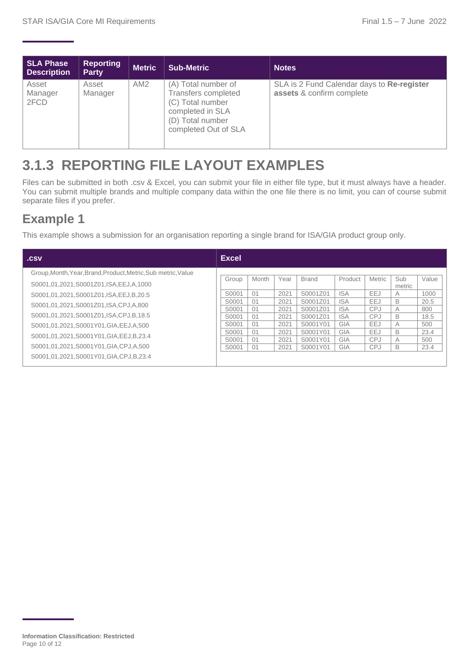| <b>SLA Phase</b><br><b>Description</b> | <b>Reporting</b><br><b>Party</b> | <b>Metric</b>   | <b>Sub-Metric</b>                                                                                                                     | <b>Notes</b>                                                            |
|----------------------------------------|----------------------------------|-----------------|---------------------------------------------------------------------------------------------------------------------------------------|-------------------------------------------------------------------------|
| Asset<br>Manager<br>2FCD               | Asset<br>Manager                 | AM <sub>2</sub> | (A) Total number of<br><b>Transfers completed</b><br>(C) Total number<br>completed in SLA<br>(D) Total number<br>completed Out of SLA | SLA is 2 Fund Calendar days to Re-register<br>assets & confirm complete |

### <span id="page-9-0"></span>**3.1.3 REPORTING FILE LAYOUT EXAMPLES**

Files can be submitted in both .csv & Excel, you can submit your file in either file type, but it must always have a header. You can submit multiple brands and multiple company data within the one file there is no limit, you can of course submit separate files if you prefer.

#### **Example 1**

This example shows a submission for an organisation reporting a single brand for ISA/GIA product group only.

| .csv                                                          | <b>Excel</b> |       |      |              |            |               |               |       |
|---------------------------------------------------------------|--------------|-------|------|--------------|------------|---------------|---------------|-------|
| Group, Month, Year, Brand, Product, Metric, Sub metric, Value |              |       |      |              |            |               |               |       |
| S0001.01.2021.S0001Z01.ISA.EEJ.A.1000                         | Group        | Month | Year | <b>Brand</b> | Product    | <b>Metric</b> | Sub<br>metric | Value |
| S0001,01,2021,S0001Z01,ISA,EEJ,B,20.5                         | S0001        | 01    | 2021 | S0001Z01     | <b>ISA</b> | EEJ           | A             | 1000  |
| S0001,01,2021,S0001Z01,ISA,CPJ,A,800                          | S0001        | 01    | 2021 | S0001Z01     | <b>ISA</b> | EEJ           | B             | 20.5  |
|                                                               | S0001        | 01    | 2021 | S0001Z01     | <b>ISA</b> | <b>CPJ</b>    | A             | 800   |
| S0001.01.2021.S0001Z01.ISA.CPJ.B.18.5                         | S0001        | 01    | 2021 | S0001Z01     | <b>ISA</b> | <b>CPJ</b>    | B             | 18.5  |
| S0001,01,2021,S0001Y01,GIA,EEJ,A,500                          | S0001        | 01    | 2021 | S0001Y01     | GIA        | EEJ           | A             | 500   |
|                                                               | S0001        | 01    | 2021 | S0001Y01     | GIA        | EEJ           | B             | 23.4  |
| S0001,01,2021,S0001Y01,GIA,EEJ,B,23.4                         | S0001        | 01    | 2021 | S0001Y01     | GIA        | <b>CPJ</b>    | A             | 500   |
| S0001.01.2021.S0001Y01.GIA.CPJ.A.500                          | S0001        | 01    | 2021 | S0001Y01     | GIA        | <b>CPJ</b>    | B             | 23.4  |
| S0001.01.2021.S0001Y01.GIA.CPJ.B.23.4                         |              |       |      |              |            |               |               |       |

**Information Classification: Restricted** Page 10 of 12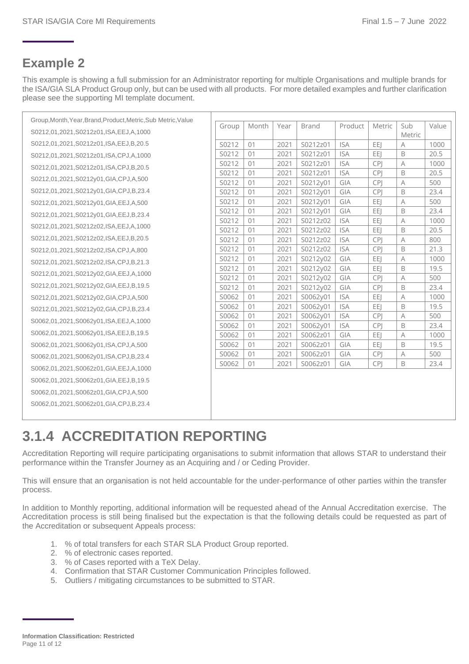#### **Example 2**

This example is showing a full submission for an Administrator reporting for multiple Organisations and multiple brands for the ISA/GIA SLA Product Group only, but can be used with all products. For more detailed examples and further clarification please see the supporting MI template document.

| Group, Month, Year, Brand, Product, Metric, Sub Metric, Value |                |          |              |                      |                   |                   |                |              |
|---------------------------------------------------------------|----------------|----------|--------------|----------------------|-------------------|-------------------|----------------|--------------|
| S0212,01,2021,S0212z01,ISA,EEJ,A,1000                         | Group          | Month    | Year         | <b>Brand</b>         | Product           | Metric            | Sub<br>Metric  | Value        |
| S0212,01,2021,S0212z01,ISA,EEJ,B,20.5                         | S0212          | 01       | 2021         | S0212z01             | <b>ISA</b>        | EEI               | A              | 1000         |
| S0212,01,2021,S0212z01,ISA,CPJ,A,1000                         | S0212          | 01       | 2021         | S0212z01             | <b>ISA</b>        | EEI               | B              | 20.5         |
| S0212,01,2021,S0212z01,ISA,CPJ,B,20.5                         | S0212          | 01       | 2021         | S0212z01             | <b>ISA</b>        | <b>CPI</b>        | A              | 1000         |
|                                                               | S0212          | 01       | 2021         | S0212z01             | <b>ISA</b>        | <b>CPI</b>        | B              | 20.5         |
| S0212,01,2021,S0212y01,GIA,CPJ,A,500                          | S0212          | 01       | 2021         | S0212y01             | GIA               | <b>CPI</b>        | Α              | 500          |
| S0212,01,2021,S0212y01,GIA,CPJ,B,23.4                         | S0212          | 01       | 2021         | S0212y01             | GIA               | <b>CPI</b>        | B              | 23.4         |
| S0212,01,2021,S0212y01,GIA,EEJ,A,500                          | S0212          | 01       | 2021         | S0212y01             | GIA               | EEJ               | A              | 500          |
| S0212,01,2021,S0212y01,GIA,EEJ,B,23.4                         | S0212          | 01       | 2021         | S0212y01             | GIA               | EEI               | B              | 23.4         |
| S0212,01,2021,S0212z02,ISA,EEJ,A,1000                         | S0212          | 01       | 2021         | S0212z02             | <b>ISA</b>        | EEJ               | $\overline{A}$ | 1000         |
|                                                               | S0212          | 01       | 2021         | S0212z02             | <b>ISA</b>        | EEI               | B              | 20.5         |
| S0212,01,2021,S0212z02,ISA,EEJ,B,20.5                         | S0212          | 01       | 2021         | S0212z02             | <b>ISA</b>        | <b>CPI</b>        | Α              | 800          |
| S0212,01,2021,S0212z02,ISA,CPJ,A,800                          | S0212          | 01       | 2021         | S0212z02             | <b>ISA</b>        | <b>CPI</b>        | B              | 21.3         |
| S0212,01,2021,S0212z02,ISA,CPJ,B,21.3                         | S0212          | 01       | 2021         | S0212y02             | GIA               | EEI               | Α              | 1000         |
| S0212,01,2021,S0212y02,GIA,EEJ,A,1000                         | S0212          | 01       | 2021         | S0212y02             | GIA               | EEI               | B              | 19.5         |
| S0212,01,2021,S0212y02,GIA,EEJ,B,19.5                         | S0212          | 01       | 2021         | S0212y02             | GIA               | <b>CPI</b>        | A              | 500          |
|                                                               | S0212<br>S0062 | 01<br>01 | 2021<br>2021 | S0212y02             | GIA<br><b>ISA</b> | <b>CPI</b><br>EEI | B<br>A         | 23.4<br>1000 |
| S0212,01,2021,S0212y02,GIA,CPJ,A,500                          | S0062          | 01       | 2021         | S0062y01<br>S0062y01 | <b>ISA</b>        | EEJ               | B              | 19.5         |
| S0212,01,2021,S0212y02,GIA,CPJ,B,23.4                         | S0062          | 01       | 2021         | S0062y01             | <b>ISA</b>        | <b>CPI</b>        | Α              | 500          |
| S0062,01,2021,S0062y01,ISA,EEJ,A,1000                         | S0062          | 01       | 2021         | S0062y01             | <b>ISA</b>        | <b>CPI</b>        | B              | 23.4         |
| S0062,01,2021,S0062y01,ISA,EEJ,B,19.5                         | S0062          | 01       | 2021         | S0062z01             | GIA               | EEJ               | A              | 1000         |
| S0062,01,2021,S0062y01,ISA,CPJ,A,500                          | S0062          | 01       | 2021         | S0062z01             | GIA               | EEI               | B              | 19.5         |
| S0062,01,2021,S0062y01,ISA,CPJ,B,23.4                         | S0062          | 01       | 2021         | S0062z01             | GIA               | <b>CPJ</b>        | Α              | 500          |
| S0062,01,2021,S0062z01,GIA,EEJ,A,1000                         | S0062          | 01       | 2021         | S0062z01             | GIA               | <b>CPI</b>        | B              | 23.4         |
|                                                               |                |          |              |                      |                   |                   |                |              |
| S0062,01,2021,S0062z01,GIA,EEJ,B,19.5                         |                |          |              |                      |                   |                   |                |              |
| S0062,01,2021,S0062z01,GIA,CPJ,A,500                          |                |          |              |                      |                   |                   |                |              |
| S0062,01,2021,S0062z01,GIA,CPJ,B,23.4                         |                |          |              |                      |                   |                   |                |              |
|                                                               |                |          |              |                      |                   |                   |                |              |

## <span id="page-10-0"></span>**3.1.4 ACCREDITATION REPORTING**

Accreditation Reporting will require participating organisations to submit information that allows STAR to understand their performance within the Transfer Journey as an Acquiring and / or Ceding Provider.

This will ensure that an organisation is not held accountable for the under-performance of other parties within the transfer process.

In addition to Monthly reporting, additional information will be requested ahead of the Annual Accreditation exercise. The Accreditation process is still being finalised but the expectation is that the following details could be requested as part of the Accreditation or subsequent Appeals process:

- 1. % of total transfers for each STAR SLA Product Group reported.
- 2. % of electronic cases reported.
- 3. % of Cases reported with a TeX Delay.
- 4. Confirmation that STAR Customer Communication Principles followed.
- 5. Outliers / mitigating circumstances to be submitted to STAR.